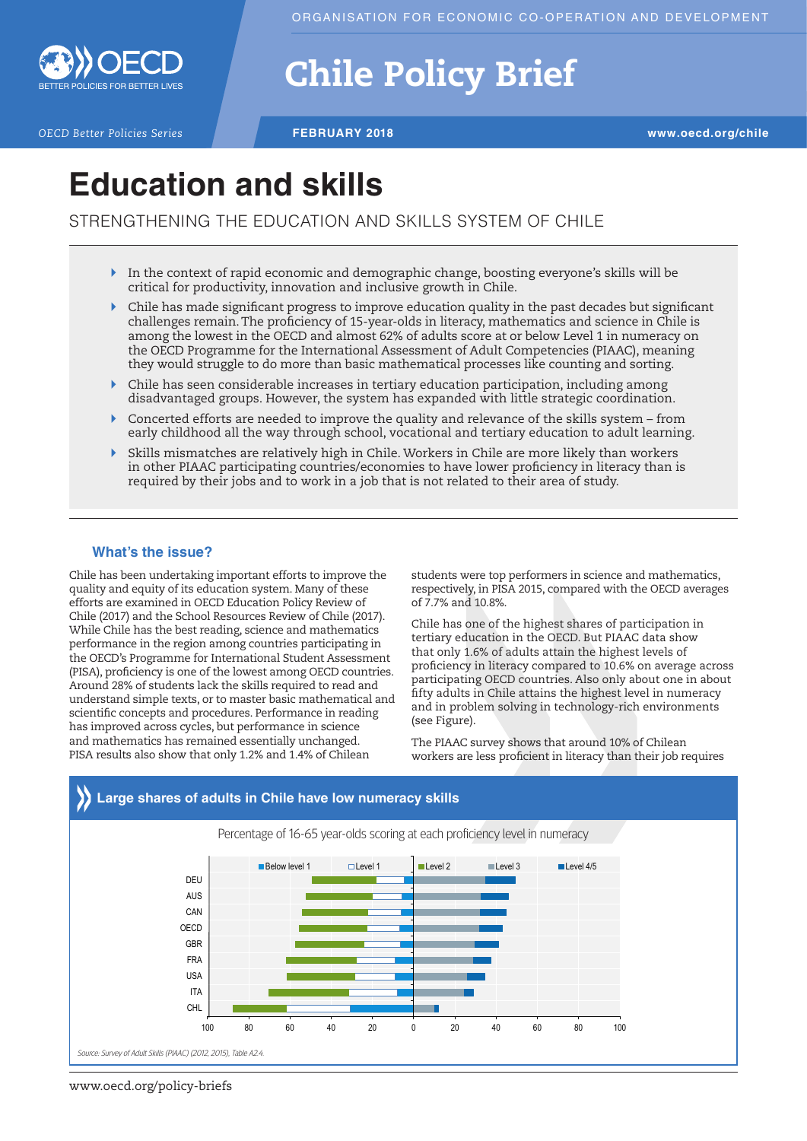

# Chile Policy Brief

*OECD Better Policies Series* **FEBRUARY 2018 www.oecd.org/chile**

## **Education and skills**

STRENGTHENING THE EDUCATION AND SKILLS SYSTEM OF CHILE

- $\triangleright$  In the context of rapid economic and demographic change, boosting everyone's skills will be critical for productivity, innovation and inclusive growth in Chile.
- $\triangleright$  Chile has made significant progress to improve education quality in the past decades but significant challenges remain. The proficiency of 15-year-olds in literacy, mathematics and science in Chile is among the lowest in the OECD and almost 62% of adults score at or below Level 1 in numeracy on the OECD Programme for the International Assessment of Adult Competencies (PIAAC), meaning they would struggle to do more than basic mathematical processes like counting and sorting.
- ` Chile has seen considerable increases in tertiary education participation, including among disadvantaged groups. However, the system has expanded with little strategic coordination.
- $\triangleright$  Concerted efforts are needed to improve the quality and relevance of the skills system from early childhood all the way through school, vocational and tertiary education to adult learning.
- ` Skills mismatches are relatively high in Chile. Workers in Chile are more likely than workers in other PIAAC participating countries/economies to have lower proficiency in literacy than is required by their jobs and to work in a job that is not related to their area of study.

### **What's the issue?**

Chile has been undertaking important efforts to improve the quality and equity of its education system. Many of these efforts are examined in OECD Education Policy Review of Chile (2017) and the School Resources Review of Chile (2017). While Chile has the best reading, science and mathematics performance in the region among countries participating in the OECD's Programme for International Student Assessment (PISA), proficiency is one of the lowest among OECD countries. Around 28% of students lack the skills required to read and understand simple texts, or to master basic mathematical and scientific concepts and procedures. Performance in reading has improved across cycles, but performance in science and mathematics has remained essentially unchanged. PISA results also show that only 1.2% and 1.4% of Chilean

students were top performers in science and mathematics, respectively, in PISA 2015, compared with the OECD averages of 7.7% and 10.8%.

Chile has one of the highest shares of participation in tertiary education in the OECD. But PIAAC data show that only 1.6% of adults attain the highest levels of proficiency in literacy compared to 10.6% on average across participating OECD countries. Also only about one in about fifty adults in Chile attains the highest level in numeracy and in problem solving in technology-rich environments (see Figure).

The PIAAC survey shows that around 10% of Chilean workers are less proficient in literacy than their job requires



www.oecd.org/policy-briefs